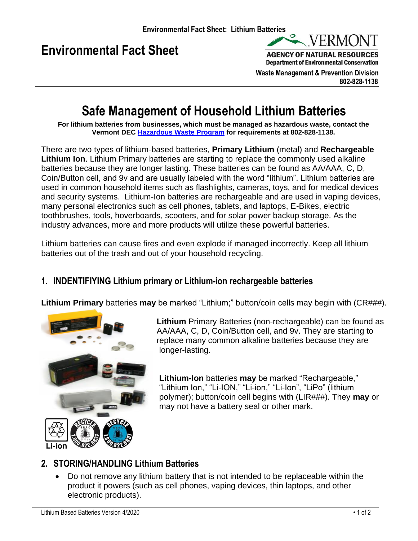# **Environmental Fact Sheet**



**AGENCY OF NATURAL RESOURCES Department of Environmental Conservation** 

 **Waste Management & Prevention Division 802-828-1138**

## **Safe Management of Household Lithium Batteries**

**For lithium batteries from businesses, which must be managed as hazardous waste, contact the Vermont DEC [Hazardous Waste Program](https://dec.vermont.gov/waste-management/hazardous) for requirements at 802-828-1138.**

There are two types of lithium-based batteries, **Primary Lithium** (metal) and **Rechargeable Lithium Ion**. Lithium Primary batteries are starting to replace the commonly used alkaline batteries because they are longer lasting. These batteries can be found as AA/AAA, C, D, Coin/Button cell, and 9v and are usually labeled with the word "lithium". Lithium batteries are used in common household items such as flashlights, cameras, toys, and for medical devices and security systems. Lithium-Ion batteries are rechargeable and are used in vaping devices, many personal electronics such as cell phones, tablets, and laptops, E-Bikes, electric toothbrushes, tools, hoverboards, scooters, and for solar power backup storage. As the industry advances, more and more products will utilize these powerful batteries.

Lithium batteries can cause fires and even explode if managed incorrectly. Keep all lithium batteries out of the trash and out of your household recycling.

## **1. INDENTIFIYING Lithium primary or Lithium-ion rechargeable batteries**

**Lithium Primary** batteries **may** be marked "Lithium;" button/coin cells may begin with (CR###).



**Lithium** Primary Batteries (non-rechargeable) can be found as AA/AAA, C, D, Coin/Button cell, and 9v. They are starting to replace many common alkaline batteries because they are longer-lasting.

**Lithium-Ion** batteries **may** be marked "Rechargeable," "Lithium Ion," "Li-ION," "Li-ion," "Li-Ion", "LiPo" (lithium polymer); button/coin cell begins with (LIR###). They **may** or may not have a battery seal or other mark.

## **2. STORING/HANDLING Lithium Batteries**

• Do not remove any lithium battery that is not intended to be replaceable within the product it powers (such as cell phones, vaping devices, thin laptops, and other electronic products).